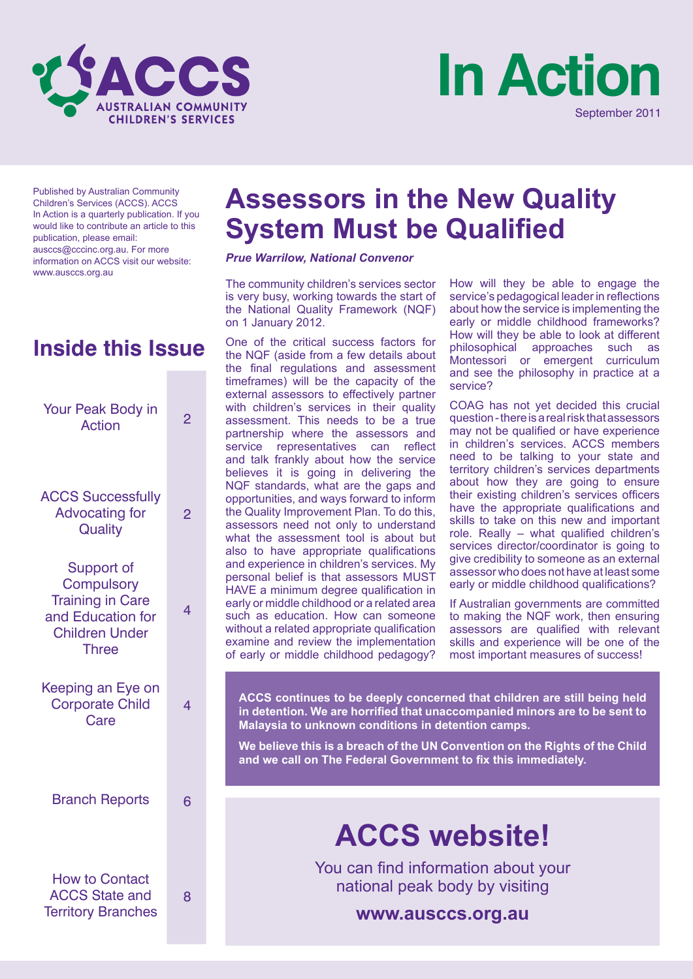



Published by Australian Community Children's Services (ACCS). ACCS In Action is a quarterly publication. If you would like to contribute an article to this publication, please email: ausccs@cccinc.org.au. For more information on ACCS visit our website: www.ausccs.org.au

# **Inside this Issue**

| <b>Your Peak Body in</b><br><b>Action</b>                                                                                | 2 |
|--------------------------------------------------------------------------------------------------------------------------|---|
| <b>ACCS Successfully</b><br><b>Advocating for</b><br>Quality                                                             | 2 |
| <b>Support of</b><br><b>Compulsory</b><br><b>Training in Care</b><br>and Education for<br><b>Children Under</b><br>Three | 4 |
| Keeping an Eye on<br><b>Corporate Child</b><br>Care                                                                      | 4 |
| <b>Branch Reports</b>                                                                                                    | 6 |
| <b>How to Contact</b><br><b>ACCS State and</b><br><b>Territory Branches</b>                                              | 8 |

# **Assessors in the New Quality System Must be Qualified**

#### *Prue Warrilow, National Convenor*

The community children's services sector is very busy, working towards the start of the National Quality Framework (NQF) on 1 January 2012.

One of the critical success factors for the NQF (aside from a few details about the final regulations and assessment timeframes) will be the capacity of the external assessors to effectively partner with children's services in their quality assessment. This needs to be a true partnership where the assessors and service representatives can reflect and talk frankly about how the service believes it is going in delivering the NQF standards, what are the gaps and opportunities, and ways forward to inform the Quality Improvement Plan. To do this, assessors need not only to understand what the assessment tool is about but also to have appropriate qualifications and experience in children's services. My personal belief is that assessors MUST HAVE a minimum degree qualification in early or middle childhood or a related area such as education. How can someone without a related appropriate qualification examine and review the implementation of early or middle childhood pedagogy? How will they be able to engage the service's pedagogical leader in reflections about how the service is implementing the early or middle childhood frameworks? How will they be able to look at different philosophical approaches such as Montessori or emergent curriculum and see the philosophy in practice at a service?

COAG has not yet decided this crucial question - there is a real risk that assessors may not be qualified or have experience in children's services. ACCS members need to be talking to your state and territory children's services departments about how they are going to ensure their existing children's services officers have the appropriate qualifications and skills to take on this new and important role. Really – what qualified children's services director/coordinator is going to give credibility to someone as an external assessor who does not have at least some early or middle childhood qualifications?

If Australian governments are committed to making the NQF work, then ensuring assessors are qualified with relevant skills and experience will be one of the most important measures of success!

**ACCS continues to be deeply concerned that children are still being held in detention. We are horrified that unaccompanied minors are to be sent to Malaysia to unknown conditions in detention camps.**

**We believe this is a breach of the UN Convention on the Rights of the Child and we call on The Federal Government to fix this immediately.**

# **ACCS website!**

You can find information about your national peak body by visiting

**www.ausccs.org.au**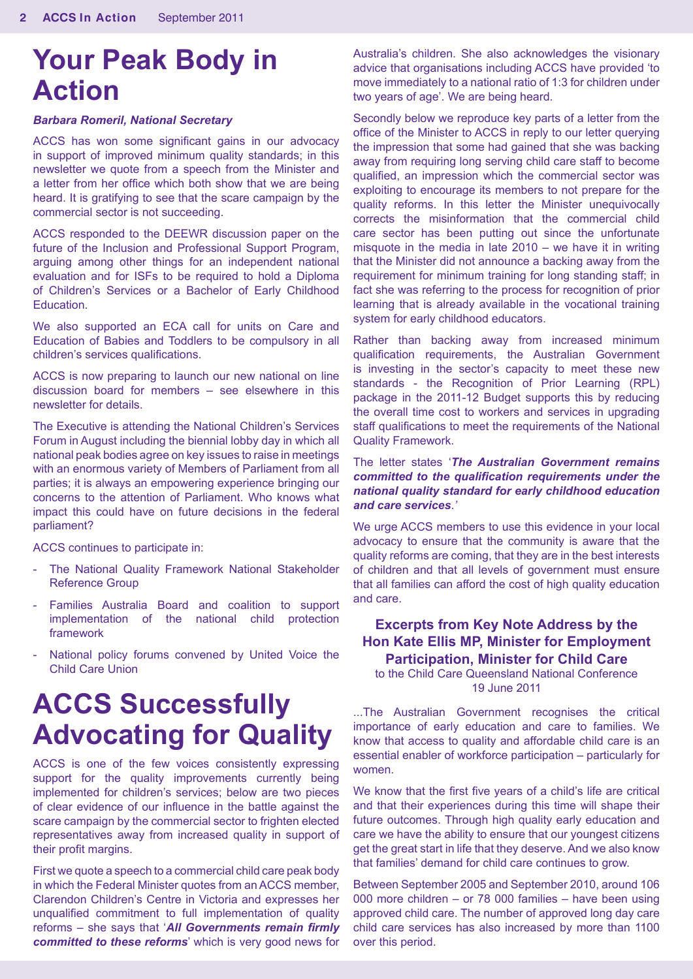# **Your Peak Body in Action**

#### *Barbara Romeril, National Secretary*

ACCS has won some significant gains in our advocacy in support of improved minimum quality standards; in this newsletter we quote from a speech from the Minister and a letter from her office which both show that we are being heard. It is gratifying to see that the scare campaign by the commercial sector is not succeeding.

ACCS responded to the DEEWR discussion paper on the future of the Inclusion and Professional Support Program, arguing among other things for an independent national evaluation and for ISFs to be required to hold a Diploma of Children's Services or a Bachelor of Early Childhood Education.

We also supported an ECA call for units on Care and Education of Babies and Toddlers to be compulsory in all children's services qualifications.

ACCS is now preparing to launch our new national on line discussion board for members – see elsewhere in this newsletter for details.

The Executive is attending the National Children's Services Forum in August including the biennial lobby day in which all national peak bodies agree on key issues to raise in meetings with an enormous variety of Members of Parliament from all parties; it is always an empowering experience bringing our concerns to the attention of Parliament. Who knows what impact this could have on future decisions in the federal parliament?

ACCS continues to participate in:

- The National Quality Framework National Stakeholder Reference Group
- Families Australia Board and coalition to support implementation of the national child protection framework
- National policy forums convened by United Voice the Child Care Union

# **ACCS Successfully Advocating for Quality**

ACCS is one of the few voices consistently expressing support for the quality improvements currently being implemented for children's services; below are two pieces of clear evidence of our influence in the battle against the scare campaign by the commercial sector to frighten elected representatives away from increased quality in support of their profit margins.

First we quote a speech to a commercial child care peak body in which the Federal Minister quotes from an ACCS member, Clarendon Children's Centre in Victoria and expresses her unqualified commitment to full implementation of quality reforms – she says that '*All Governments remain firmly committed to these reforms*' which is very good news for

Australia's children. She also acknowledges the visionary advice that organisations including ACCS have provided 'to move immediately to a national ratio of 1:3 for children under two years of age'. We are being heard.

Secondly below we reproduce key parts of a letter from the office of the Minister to ACCS in reply to our letter querying the impression that some had gained that she was backing away from requiring long serving child care staff to become qualified, an impression which the commercial sector was exploiting to encourage its members to not prepare for the quality reforms. In this letter the Minister unequivocally corrects the misinformation that the commercial child care sector has been putting out since the unfortunate misquote in the media in late 2010 – we have it in writing that the Minister did not announce a backing away from the requirement for minimum training for long standing staff; in fact she was referring to the process for recognition of prior learning that is already available in the vocational training system for early childhood educators.

Rather than backing away from increased minimum qualification requirements, the Australian Government is investing in the sector's capacity to meet these new standards - the Recognition of Prior Learning (RPL) package in the 2011-12 Budget supports this by reducing the overall time cost to workers and services in upgrading staff qualifications to meet the requirements of the National Quality Framework.

#### The letter states '*The Australian Government remains committed to the qualification requirements under the national quality standard for early childhood education and care services*.*'*

We urge ACCS members to use this evidence in your local advocacy to ensure that the community is aware that the quality reforms are coming, that they are in the best interests of children and that all levels of government must ensure that all families can afford the cost of high quality education and care.

## **Excerpts from Key Note Address by the Hon Kate Ellis MP, Minister for Employment Participation, Minister for Child Care**

to the Child Care Queensland National Conference 19 June 2011

...The Australian Government recognises the critical importance of early education and care to families. We know that access to quality and affordable child care is an essential enabler of workforce participation – particularly for women.

We know that the first five years of a child's life are critical and that their experiences during this time will shape their future outcomes. Through high quality early education and care we have the ability to ensure that our youngest citizens get the great start in life that they deserve. And we also know that families' demand for child care continues to grow.

Between September 2005 and September 2010, around 106 000 more children – or 78 000 families – have been using approved child care. The number of approved long day care child care services has also increased by more than 1100 over this period.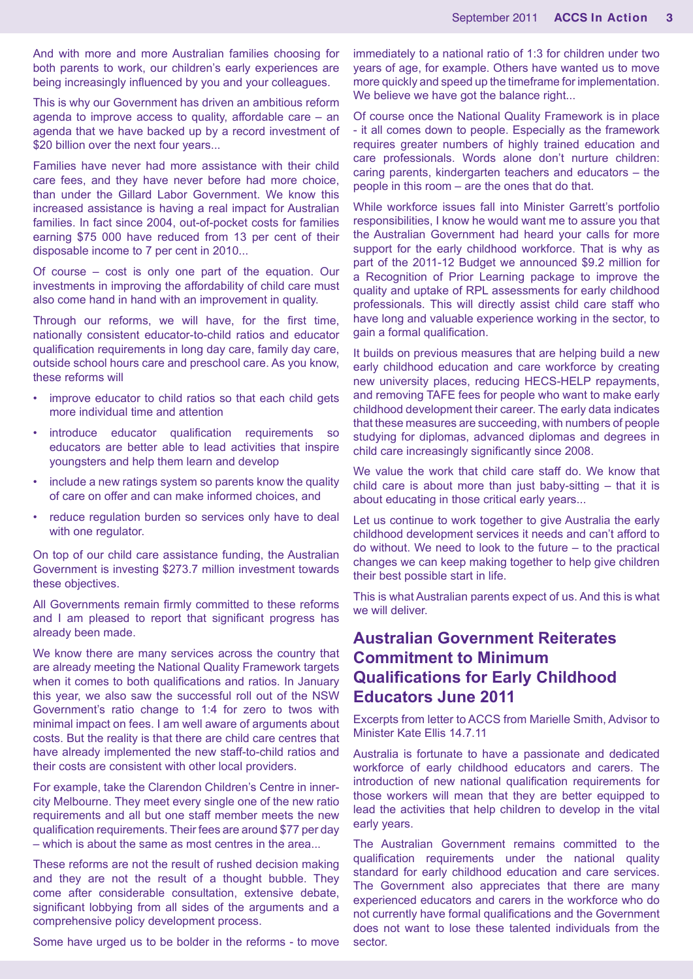And with more and more Australian families choosing for both parents to work, our children's early experiences are being increasingly influenced by you and your colleagues.

This is why our Government has driven an ambitious reform agenda to improve access to quality, affordable care – an agenda that we have backed up by a record investment of \$20 billion over the next four years...

Families have never had more assistance with their child care fees, and they have never before had more choice, than under the Gillard Labor Government. We know this increased assistance is having a real impact for Australian families. In fact since 2004, out-of-pocket costs for families earning \$75 000 have reduced from 13 per cent of their disposable income to 7 per cent in 2010...

Of course – cost is only one part of the equation. Our investments in improving the affordability of child care must also come hand in hand with an improvement in quality.

Through our reforms, we will have, for the first time, nationally consistent educator-to-child ratios and educator qualification requirements in long day care, family day care, outside school hours care and preschool care. As you know, these reforms will

- improve educator to child ratios so that each child gets more individual time and attention
- introduce educator qualification requirements so educators are better able to lead activities that inspire youngsters and help them learn and develop
- include a new ratings system so parents know the quality of care on offer and can make informed choices, and
- reduce regulation burden so services only have to deal with one regulator.

On top of our child care assistance funding, the Australian Government is investing \$273.7 million investment towards these objectives.

All Governments remain firmly committed to these reforms and I am pleased to report that significant progress has already been made.

We know there are many services across the country that are already meeting the National Quality Framework targets when it comes to both qualifications and ratios. In January this year, we also saw the successful roll out of the NSW Government's ratio change to 1:4 for zero to twos with minimal impact on fees. I am well aware of arguments about costs. But the reality is that there are child care centres that have already implemented the new staff-to-child ratios and their costs are consistent with other local providers.

For example, take the Clarendon Children's Centre in innercity Melbourne. They meet every single one of the new ratio requirements and all but one staff member meets the new qualification requirements. Their fees are around \$77 per day – which is about the same as most centres in the area...

These reforms are not the result of rushed decision making and they are not the result of a thought bubble. They come after considerable consultation, extensive debate, significant lobbying from all sides of the arguments and a comprehensive policy development process.

Some have urged us to be bolder in the reforms - to move

immediately to a national ratio of 1:3 for children under two years of age, for example. Others have wanted us to move more quickly and speed up the timeframe for implementation. We believe we have got the balance right...

Of course once the National Quality Framework is in place - it all comes down to people. Especially as the framework requires greater numbers of highly trained education and care professionals. Words alone don't nurture children: caring parents, kindergarten teachers and educators – the people in this room – are the ones that do that.

While workforce issues fall into Minister Garrett's portfolio responsibilities, I know he would want me to assure you that the Australian Government had heard your calls for more support for the early childhood workforce. That is why as part of the 2011-12 Budget we announced \$9.2 million for a Recognition of Prior Learning package to improve the quality and uptake of RPL assessments for early childhood professionals. This will directly assist child care staff who have long and valuable experience working in the sector, to gain a formal qualification.

It builds on previous measures that are helping build a new early childhood education and care workforce by creating new university places, reducing HECS-HELP repayments, and removing TAFE fees for people who want to make early childhood development their career. The early data indicates that these measures are succeeding, with numbers of people studying for diplomas, advanced diplomas and degrees in child care increasingly significantly since 2008.

We value the work that child care staff do. We know that child care is about more than just baby-sitting – that it is about educating in those critical early years...

Let us continue to work together to give Australia the early childhood development services it needs and can't afford to do without. We need to look to the future – to the practical changes we can keep making together to help give children their best possible start in life.

This is what Australian parents expect of us. And this is what we will deliver.

# **Australian Government Reiterates Commitment to Minimum Qualifications for Early Childhood Educators June 2011**

Excerpts from letter to ACCS from Marielle Smith, Advisor to Minister Kate Ellis 14.7.11

Australia is fortunate to have a passionate and dedicated workforce of early childhood educators and carers. The introduction of new national qualification requirements for those workers will mean that they are better equipped to lead the activities that help children to develop in the vital early years.

The Australian Government remains committed to the qualification requirements under the national quality standard for early childhood education and care services. The Government also appreciates that there are many experienced educators and carers in the workforce who do not currently have formal qualifications and the Government does not want to lose these talented individuals from the sector.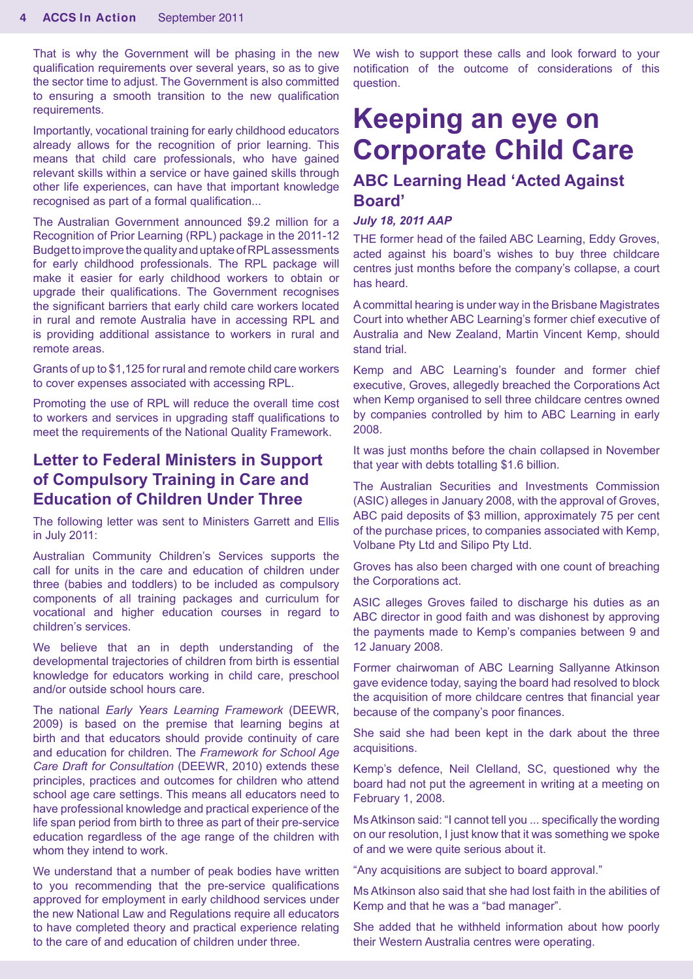That is why the Government will be phasing in the new qualification requirements over several years, so as to give the sector time to adjust. The Government is also committed to ensuring a smooth transition to the new qualification requirements.

Importantly, vocational training for early childhood educators already allows for the recognition of prior learning. This means that child care professionals, who have gained relevant skills within a service or have gained skills through other life experiences, can have that important knowledge recognised as part of a formal qualification...

The Australian Government announced \$9.2 million for a Recognition of Prior Learning (RPL) package in the 2011-12 Budget to improve the quality and uptake of RPL assessments for early childhood professionals. The RPL package will make it easier for early childhood workers to obtain or upgrade their qualifications. The Government recognises the significant barriers that early child care workers located in rural and remote Australia have in accessing RPL and is providing additional assistance to workers in rural and remote areas.

Grants of up to \$1,125 for rural and remote child care workers to cover expenses associated with accessing RPL.

Promoting the use of RPL will reduce the overall time cost to workers and services in upgrading staff qualifications to meet the requirements of the National Quality Framework.

# **Letter to Federal Ministers in Support of Compulsory Training in Care and Education of Children Under Three**

The following letter was sent to Ministers Garrett and Ellis in July 2011:

Australian Community Children's Services supports the call for units in the care and education of children under three (babies and toddlers) to be included as compulsory components of all training packages and curriculum for vocational and higher education courses in regard to children's services.

We believe that an in depth understanding of the developmental trajectories of children from birth is essential knowledge for educators working in child care, preschool and/or outside school hours care.

The national *Early Years Learning Framework* (DEEWR, 2009) is based on the premise that learning begins at birth and that educators should provide continuity of care and education for children. The *Framework for School Age Care Draft for Consultation* (DEEWR, 2010) extends these principles, practices and outcomes for children who attend school age care settings. This means all educators need to have professional knowledge and practical experience of the life span period from birth to three as part of their pre-service education regardless of the age range of the children with whom they intend to work.

We understand that a number of peak bodies have written to you recommending that the pre-service qualifications approved for employment in early childhood services under the new National Law and Regulations require all educators to have completed theory and practical experience relating to the care of and education of children under three.

We wish to support these calls and look forward to your notification of the outcome of considerations of this question.

# **Keeping an eye on Corporate Child Care**

## **ABC Learning Head 'Acted Against Board'**

#### *July 18, 2011 AAP*

THE former head of the failed ABC Learning, Eddy Groves, acted against his board's wishes to buy three childcare centres just months before the company's collapse, a court has heard.

A committal hearing is under way in the Brisbane Magistrates Court into whether ABC Learning's former chief executive of Australia and New Zealand, Martin Vincent Kemp, should stand trial.

Kemp and ABC Learning's founder and former chief executive, Groves, allegedly breached the Corporations Act when Kemp organised to sell three childcare centres owned by companies controlled by him to ABC Learning in early 2008.

It was just months before the chain collapsed in November that year with debts totalling \$1.6 billion.

The Australian Securities and Investments Commission (ASIC) alleges in January 2008, with the approval of Groves, ABC paid deposits of \$3 million, approximately 75 per cent of the purchase prices, to companies associated with Kemp, Volbane Pty Ltd and Silipo Pty Ltd.

Groves has also been charged with one count of breaching the Corporations act.

ASIC alleges Groves failed to discharge his duties as an ABC director in good faith and was dishonest by approving the payments made to Kemp's companies between 9 and 12 January 2008.

Former chairwoman of ABC Learning Sallyanne Atkinson gave evidence today, saying the board had resolved to block the acquisition of more childcare centres that financial year because of the company's poor finances.

She said she had been kept in the dark about the three acquisitions.

Kemp's defence, Neil Clelland, SC, questioned why the board had not put the agreement in writing at a meeting on February 1, 2008.

Ms Atkinson said: "I cannot tell you ... specifically the wording on our resolution, I just know that it was something we spoke of and we were quite serious about it.

"Any acquisitions are subject to board approval."

Ms Atkinson also said that she had lost faith in the abilities of Kemp and that he was a "bad manager".

She added that he withheld information about how poorly their Western Australia centres were operating.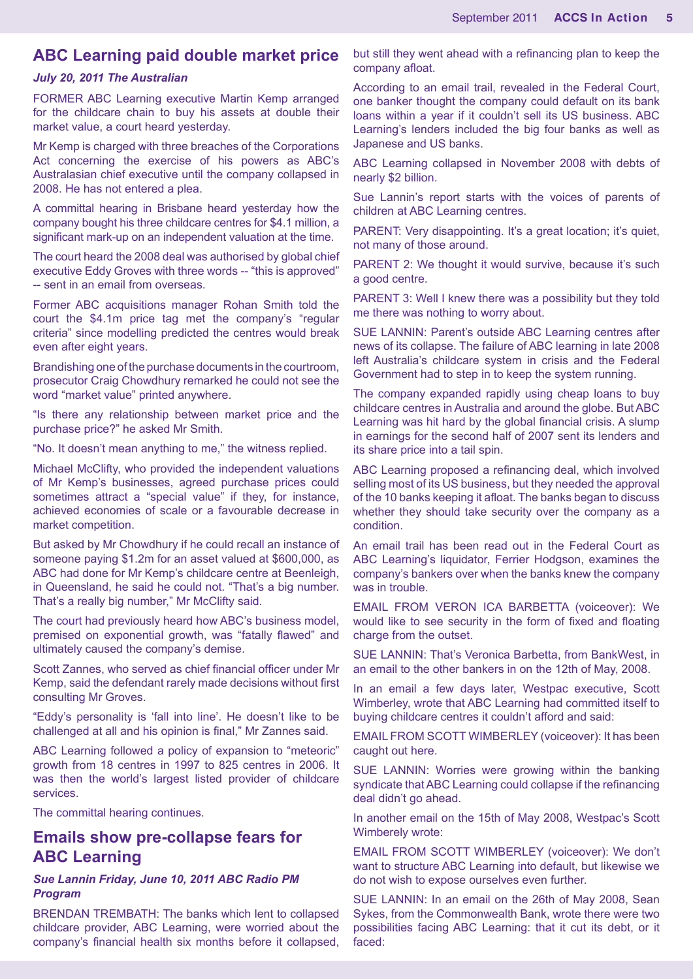## **ABC Learning paid double market price**

#### *July 20, 2011 The Australian*

FORMER ABC Learning executive Martin Kemp arranged for the childcare chain to buy his assets at double their market value, a court heard yesterday.

Mr Kemp is charged with three breaches of the Corporations Act concerning the exercise of his powers as ABC's Australasian chief executive until the company collapsed in 2008. He has not entered a plea.

A committal hearing in Brisbane heard yesterday how the company bought his three childcare centres for \$4.1 million, a significant mark-up on an independent valuation at the time.

The court heard the 2008 deal was authorised by global chief executive Eddy Groves with three words -- "this is approved" -- sent in an email from overseas.

Former ABC acquisitions manager Rohan Smith told the court the \$4.1m price tag met the company's "regular criteria" since modelling predicted the centres would break even after eight years.

Brandishing one of the purchase documents in the courtroom, prosecutor Craig Chowdhury remarked he could not see the word "market value" printed anywhere.

"Is there any relationship between market price and the purchase price?" he asked Mr Smith.

"No. It doesn't mean anything to me," the witness replied.

Michael McClifty, who provided the independent valuations of Mr Kemp's businesses, agreed purchase prices could sometimes attract a "special value" if they, for instance, achieved economies of scale or a favourable decrease in market competition.

But asked by Mr Chowdhury if he could recall an instance of someone paying \$1.2m for an asset valued at \$600,000, as ABC had done for Mr Kemp's childcare centre at Beenleigh, in Queensland, he said he could not. "That's a big number. That's a really big number," Mr McClifty said.

The court had previously heard how ABC's business model, premised on exponential growth, was "fatally flawed" and ultimately caused the company's demise.

Scott Zannes, who served as chief financial officer under Mr Kemp, said the defendant rarely made decisions without first consulting Mr Groves.

"Eddy's personality is 'fall into line'. He doesn't like to be challenged at all and his opinion is final," Mr Zannes said.

ABC Learning followed a policy of expansion to "meteoric" growth from 18 centres in 1997 to 825 centres in 2006. It was then the world's largest listed provider of childcare services.

The committal hearing continues.

# **Emails show pre-collapse fears for ABC Learning**

#### *Sue Lannin Friday, June 10, 2011 ABC Radio PM Program*

BRENDAN TREMBATH: The banks which lent to collapsed childcare provider, ABC Learning, were worried about the company's financial health six months before it collapsed, but still they went ahead with a refinancing plan to keep the company afloat.

According to an email trail, revealed in the Federal Court, one banker thought the company could default on its bank loans within a year if it couldn't sell its US business. ABC Learning's lenders included the big four banks as well as Japanese and US banks.

ABC Learning collapsed in November 2008 with debts of nearly \$2 billion.

Sue Lannin's report starts with the voices of parents of children at ABC Learning centres.

PARENT: Very disappointing. It's a great location; it's quiet, not many of those around.

PARENT 2: We thought it would survive, because it's such a good centre.

PARENT 3: Well I knew there was a possibility but they told me there was nothing to worry about.

SUE LANNIN: Parent's outside ABC Learning centres after news of its collapse. The failure of ABC learning in late 2008 left Australia's childcare system in crisis and the Federal Government had to step in to keep the system running.

The company expanded rapidly using cheap loans to buy childcare centres in Australia and around the globe. But ABC Learning was hit hard by the global financial crisis. A slump in earnings for the second half of 2007 sent its lenders and its share price into a tail spin.

ABC Learning proposed a refinancing deal, which involved selling most of its US business, but they needed the approval of the 10 banks keeping it afloat. The banks began to discuss whether they should take security over the company as a condition.

An email trail has been read out in the Federal Court as ABC Learning's liquidator, Ferrier Hodgson, examines the company's bankers over when the banks knew the company was in trouble.

EMAIL FROM VERON ICA BARBETTA (voiceover): We would like to see security in the form of fixed and floating charge from the outset.

SUE LANNIN: That's Veronica Barbetta, from BankWest, in an email to the other bankers in on the 12th of May, 2008.

In an email a few days later, Westpac executive, Scott Wimberley, wrote that ABC Learning had committed itself to buying childcare centres it couldn't afford and said:

EMAIL FROM SCOTT WIMBERLEY (voiceover): It has been caught out here.

SUE LANNIN: Worries were growing within the banking syndicate that ABC Learning could collapse if the refinancing deal didn't go ahead.

In another email on the 15th of May 2008, Westpac's Scott Wimberely wrote:

EMAIL FROM SCOTT WIMBERLEY (voiceover): We don't want to structure ABC Learning into default, but likewise we do not wish to expose ourselves even further.

SUE LANNIN: In an email on the 26th of May 2008, Sean Sykes, from the Commonwealth Bank, wrote there were two possibilities facing ABC Learning: that it cut its debt, or it faced: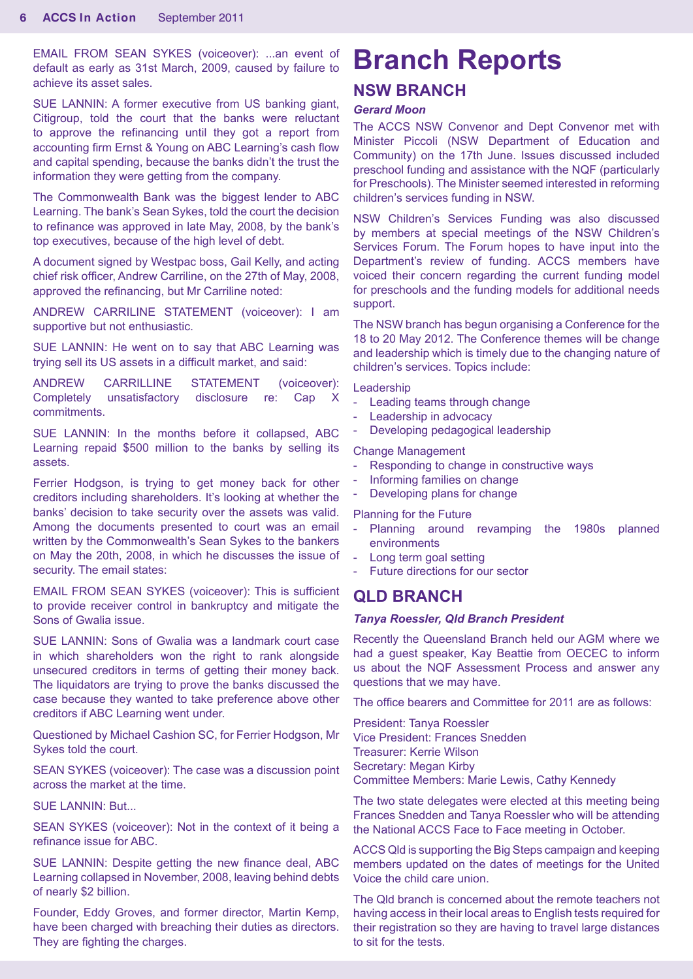EMAIL FROM SEAN SYKES (voiceover): ...an event of default as early as 31st March, 2009, caused by failure to achieve its asset sales.

SUE LANNIN: A former executive from US banking giant, Citigroup, told the court that the banks were reluctant to approve the refinancing until they got a report from accounting firm Ernst & Young on ABC Learning's cash flow and capital spending, because the banks didn't the trust the information they were getting from the company.

The Commonwealth Bank was the biggest lender to ABC Learning. The bank's Sean Sykes, told the court the decision to refinance was approved in late May, 2008, by the bank's top executives, because of the high level of debt.

A document signed by Westpac boss, Gail Kelly, and acting chief risk officer, Andrew Carriline, on the 27th of May, 2008, approved the refinancing, but Mr Carriline noted:

ANDREW CARRILINE STATEMENT (voiceover): I am supportive but not enthusiastic.

SUE LANNIN: He went on to say that ABC Learning was trying sell its US assets in a difficult market, and said:

ANDREW CARRILLINE STATEMENT (voiceover): Completely unsatisfactory disclosure re: Cap X commitments.

SUE LANNIN: In the months before it collapsed, ABC Learning repaid \$500 million to the banks by selling its assets.

Ferrier Hodgson, is trying to get money back for other creditors including shareholders. It's looking at whether the banks' decision to take security over the assets was valid. Among the documents presented to court was an email written by the Commonwealth's Sean Sykes to the bankers on May the 20th, 2008, in which he discusses the issue of security. The email states:

EMAIL FROM SEAN SYKES (voiceover): This is sufficient to provide receiver control in bankruptcy and mitigate the Sons of Gwalia issue.

SUE LANNIN: Sons of Gwalia was a landmark court case in which shareholders won the right to rank alongside unsecured creditors in terms of getting their money back. The liquidators are trying to prove the banks discussed the case because they wanted to take preference above other creditors if ABC Learning went under.

Questioned by Michael Cashion SC, for Ferrier Hodgson, Mr Sykes told the court.

SEAN SYKES (voiceover): The case was a discussion point across the market at the time.

SUE LANNIN: But...

SEAN SYKES (voiceover): Not in the context of it being a refinance issue for ABC.

SUE LANNIN: Despite getting the new finance deal, ABC Learning collapsed in November, 2008, leaving behind debts of nearly \$2 billion.

Founder, Eddy Groves, and former director, Martin Kemp, have been charged with breaching their duties as directors. They are fighting the charges.

# **Branch Reports NSW BRANCH**

#### *Gerard Moon*

The ACCS NSW Convenor and Dept Convenor met with Minister Piccoli (NSW Department of Education and Community) on the 17th June. Issues discussed included preschool funding and assistance with the NQF (particularly for Preschools). The Minister seemed interested in reforming children's services funding in NSW.

NSW Children's Services Funding was also discussed by members at special meetings of the NSW Children's Services Forum. The Forum hopes to have input into the Department's review of funding. ACCS members have voiced their concern regarding the current funding model for preschools and the funding models for additional needs support.

The NSW branch has begun organising a Conference for the 18 to 20 May 2012. The Conference themes will be change and leadership which is timely due to the changing nature of children's services. Topics include:

Leadership

- Leading teams through change
- Leadership in advocacy
- Developing pedagogical leadership

Change Management

- Responding to change in constructive ways
- Informing families on change
- Developing plans for change

Planning for the Future

- Planning around revamping the 1980s planned environments
- Long term goal setting
- Future directions for our sector

### **QLD BRANCH**

#### *Tanya Roessler, Qld Branch President*

Recently the Queensland Branch held our AGM where we had a guest speaker, Kay Beattie from OECEC to inform us about the NQF Assessment Process and answer any questions that we may have.

The office bearers and Committee for 2011 are as follows:

President: Tanya Roessler Vice President: Frances Snedden Treasurer: Kerrie Wilson Secretary: Megan Kirby Committee Members: Marie Lewis, Cathy Kennedy

The two state delegates were elected at this meeting being Frances Snedden and Tanya Roessler who will be attending the National ACCS Face to Face meeting in October.

ACCS Qld is supporting the Big Steps campaign and keeping members updated on the dates of meetings for the United Voice the child care union.

The Qld branch is concerned about the remote teachers not having access in their local areas to English tests required for their registration so they are having to travel large distances to sit for the tests.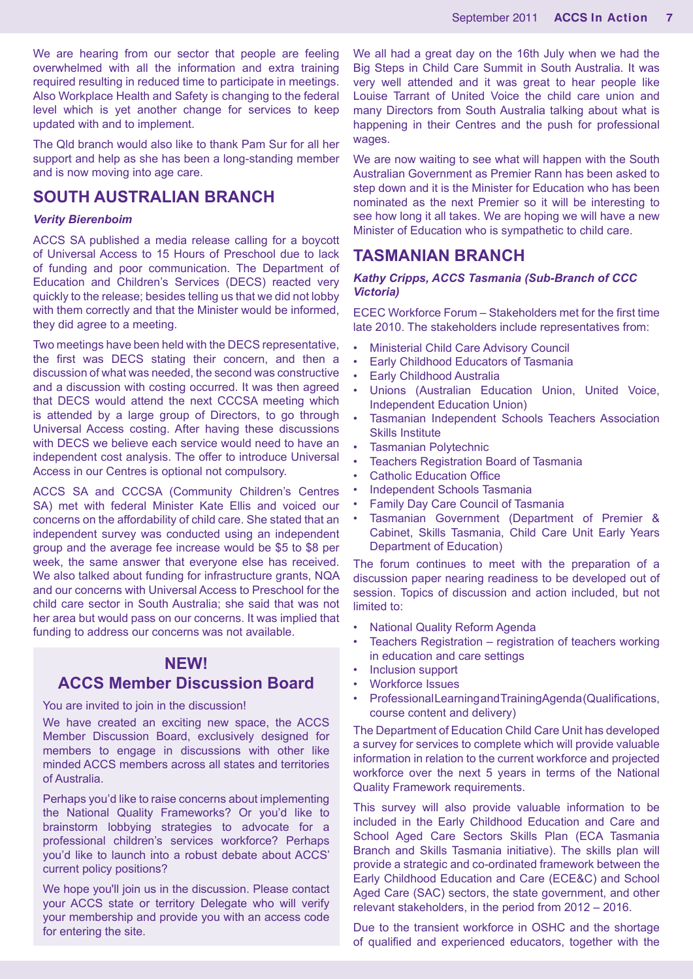We are hearing from our sector that people are feeling overwhelmed with all the information and extra training required resulting in reduced time to participate in meetings. Also Workplace Health and Safety is changing to the federal level which is yet another change for services to keep updated with and to implement.

The Qld branch would also like to thank Pam Sur for all her support and help as she has been a long-standing member and is now moving into age care.

### **SOUTH AUSTRALIAN BRANCH**

#### *Verity Bierenboim*

ACCS SA published a media release calling for a boycott of Universal Access to 15 Hours of Preschool due to lack of funding and poor communication. The Department of Education and Children's Services (DECS) reacted very quickly to the release; besides telling us that we did not lobby with them correctly and that the Minister would be informed, they did agree to a meeting.

Two meetings have been held with the DECS representative, the first was DECS stating their concern, and then a discussion of what was needed, the second was constructive and a discussion with costing occurred. It was then agreed that DECS would attend the next CCCSA meeting which is attended by a large group of Directors, to go through Universal Access costing. After having these discussions with DECS we believe each service would need to have an independent cost analysis. The offer to introduce Universal Access in our Centres is optional not compulsory.

ACCS SA and CCCSA (Community Children's Centres SA) met with federal Minister Kate Ellis and voiced our concerns on the affordability of child care. She stated that an independent survey was conducted using an independent group and the average fee increase would be \$5 to \$8 per week, the same answer that everyone else has received. We also talked about funding for infrastructure grants, NQA and our concerns with Universal Access to Preschool for the child care sector in South Australia; she said that was not her area but would pass on our concerns. It was implied that funding to address our concerns was not available.

# **NEW!**

# **ACCS Member Discussion Board**

#### You are invited to join in the discussion!

We have created an exciting new space, the ACCS Member Discussion Board, exclusively designed for members to engage in discussions with other like minded ACCS members across all states and territories of Australia.

Perhaps you'd like to raise concerns about implementing the National Quality Frameworks? Or you'd like to brainstorm lobbying strategies to advocate for a professional children's services workforce? Perhaps you'd like to launch into a robust debate about ACCS' current policy positions?

We hope you'll join us in the discussion. Please contact your ACCS state or territory Delegate who will verify your membership and provide you with an access code for entering the site.

We all had a great day on the 16th July when we had the Big Steps in Child Care Summit in South Australia. It was very well attended and it was great to hear people like Louise Tarrant of United Voice the child care union and many Directors from South Australia talking about what is happening in their Centres and the push for professional wages.

We are now waiting to see what will happen with the South Australian Government as Premier Rann has been asked to step down and it is the Minister for Education who has been nominated as the next Premier so it will be interesting to see how long it all takes. We are hoping we will have a new Minister of Education who is sympathetic to child care.

## **TASMANIAN BRANCH**

#### *Kathy Cripps, ACCS Tasmania (Sub-Branch of CCC Victoria)*

ECEC Workforce Forum – Stakeholders met for the first time late 2010. The stakeholders include representatives from:

- Ministerial Child Care Advisory Council
- Early Childhood Educators of Tasmania
- **Early Childhood Australia**
- Unions (Australian Education Union, United Voice, Independent Education Union)
- Tasmanian Independent Schools Teachers Association Skills Institute
- Tasmanian Polytechnic
- Teachers Registration Board of Tasmania
- Catholic Education Office
- Independent Schools Tasmania
- Family Day Care Council of Tasmania
- Tasmanian Government (Department of Premier & Cabinet, Skills Tasmania, Child Care Unit Early Years Department of Education)

The forum continues to meet with the preparation of a discussion paper nearing readiness to be developed out of session. Topics of discussion and action included, but not limited to:

- National Quality Reform Agenda
- Teachers Registration registration of teachers working in education and care settings
- Inclusion support
- Workforce Issues
- Professional Learning and Training Agenda (Qualifications, course content and delivery)

The Department of Education Child Care Unit has developed a survey for services to complete which will provide valuable information in relation to the current workforce and projected workforce over the next 5 years in terms of the National Quality Framework requirements.

This survey will also provide valuable information to be included in the Early Childhood Education and Care and School Aged Care Sectors Skills Plan (ECA Tasmania Branch and Skills Tasmania initiative). The skills plan will provide a strategic and co-ordinated framework between the Early Childhood Education and Care (ECE&C) and School Aged Care (SAC) sectors, the state government, and other relevant stakeholders, in the period from 2012 – 2016.

Due to the transient workforce in OSHC and the shortage of qualified and experienced educators, together with the